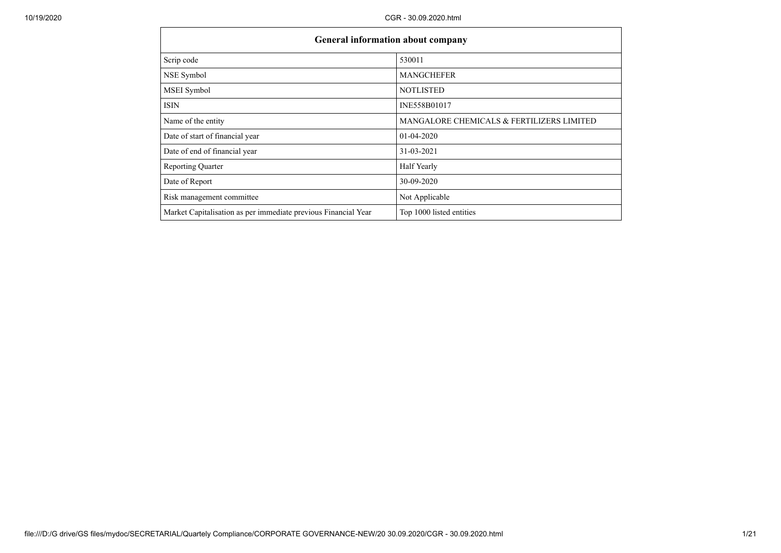| General information about company                              |                                           |
|----------------------------------------------------------------|-------------------------------------------|
| Scrip code                                                     | 530011                                    |
| NSE Symbol                                                     | <b>MANGCHEFER</b>                         |
| MSEI Symbol                                                    | <b>NOTLISTED</b>                          |
| <b>ISIN</b>                                                    | INE558B01017                              |
| Name of the entity                                             | MANGALORE CHEMICALS & FERTILIZERS LIMITED |
| Date of start of financial year                                | $01 - 04 - 2020$                          |
| Date of end of financial year                                  | 31-03-2021                                |
| <b>Reporting Quarter</b>                                       | <b>Half Yearly</b>                        |
| Date of Report                                                 | 30-09-2020                                |
| Risk management committee                                      | Not Applicable                            |
| Market Capitalisation as per immediate previous Financial Year | Top 1000 listed entities                  |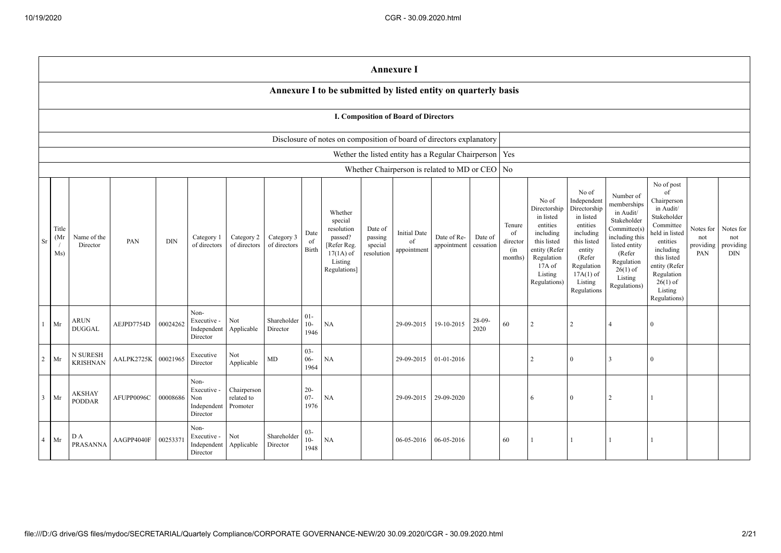|                |                                                                      | <b>Annexure I</b>                                              |            |            |                                                       |                                       |                            |                          |                                                                                                      |                                             |                                          |                                                          |                      |                                            |                                                                                                                                                |                                                                                                                                                                      |                                                                                                                                                                          |                                                                                                                                                                                                            |                                      |                                             |
|----------------|----------------------------------------------------------------------|----------------------------------------------------------------|------------|------------|-------------------------------------------------------|---------------------------------------|----------------------------|--------------------------|------------------------------------------------------------------------------------------------------|---------------------------------------------|------------------------------------------|----------------------------------------------------------|----------------------|--------------------------------------------|------------------------------------------------------------------------------------------------------------------------------------------------|----------------------------------------------------------------------------------------------------------------------------------------------------------------------|--------------------------------------------------------------------------------------------------------------------------------------------------------------------------|------------------------------------------------------------------------------------------------------------------------------------------------------------------------------------------------------------|--------------------------------------|---------------------------------------------|
|                |                                                                      | Annexure I to be submitted by listed entity on quarterly basis |            |            |                                                       |                                       |                            |                          |                                                                                                      |                                             |                                          |                                                          |                      |                                            |                                                                                                                                                |                                                                                                                                                                      |                                                                                                                                                                          |                                                                                                                                                                                                            |                                      |                                             |
|                |                                                                      | I. Composition of Board of Directors                           |            |            |                                                       |                                       |                            |                          |                                                                                                      |                                             |                                          |                                                          |                      |                                            |                                                                                                                                                |                                                                                                                                                                      |                                                                                                                                                                          |                                                                                                                                                                                                            |                                      |                                             |
|                | Disclosure of notes on composition of board of directors explanatory |                                                                |            |            |                                                       |                                       |                            |                          |                                                                                                      |                                             |                                          |                                                          |                      |                                            |                                                                                                                                                |                                                                                                                                                                      |                                                                                                                                                                          |                                                                                                                                                                                                            |                                      |                                             |
|                |                                                                      |                                                                |            |            |                                                       |                                       |                            |                          |                                                                                                      |                                             |                                          | Wether the listed entity has a Regular Chairperson   Yes |                      |                                            |                                                                                                                                                |                                                                                                                                                                      |                                                                                                                                                                          |                                                                                                                                                                                                            |                                      |                                             |
|                |                                                                      |                                                                |            |            |                                                       |                                       |                            |                          |                                                                                                      |                                             |                                          | Whether Chairperson is related to MD or CEO No           |                      |                                            |                                                                                                                                                |                                                                                                                                                                      |                                                                                                                                                                          |                                                                                                                                                                                                            |                                      |                                             |
| Sr             | Title<br>(Mr<br>Ms)                                                  | Name of the<br>Director                                        | PAN        | <b>DIN</b> | Category 1<br>of directors                            | Category 2<br>of directors            | Category 3<br>of directors | Date<br>of<br>Birth      | Whether<br>special<br>resolution<br>passed?<br>[Refer Reg.<br>$17(1A)$ of<br>Listing<br>Regulations] | Date of<br>passing<br>special<br>resolution | <b>Initial Date</b><br>of<br>appointment | Date of Re-<br>appointment                               | Date of<br>cessation | Tenure<br>of<br>director<br>(in<br>months) | No of<br>Directorship<br>in listed<br>entities<br>including<br>this listed<br>entity (Refer<br>Regulation<br>17A of<br>Listing<br>Regulations) | No of<br>Independent<br>Directorship<br>in listed<br>entities<br>including<br>this listed<br>entity<br>(Refer<br>Regulation<br>$17A(1)$ of<br>Listing<br>Regulations | Number of<br>memberships<br>in Audit/<br>Stakeholder<br>Committee(s)<br>including this<br>listed entity<br>(Refer<br>Regulation<br>$26(1)$ of<br>Listing<br>Regulations) | No of post<br>of<br>Chairperson<br>in Audit/<br>Stakeholder<br>Committee<br>neld in listed<br>entities<br>including<br>this listed<br>entity (Refer<br>Regulation<br>$26(1)$ of<br>Listing<br>Regulations) | Notes for<br>not<br>providing<br>PAN | Notes for<br>not<br>providing<br><b>DIN</b> |
| $\mathbf{1}$   | Mr                                                                   | <b>ARUN</b><br><b>DUGGAL</b>                                   | AEJPD7754D | 00024262   | Non-<br>Executive -<br>Independent<br>Director        | Not<br>Applicable                     | Shareholder<br>Director    | $01 -$<br>$10-$<br>1946  | <b>NA</b>                                                                                            |                                             | 29-09-2015                               | 19-10-2015                                               | $28-09-$<br>2020     | 60                                         | 2                                                                                                                                              | 2                                                                                                                                                                    | $\boldsymbol{\varLambda}$                                                                                                                                                | $\mathbf{0}$                                                                                                                                                                                               |                                      |                                             |
| $\overline{c}$ | Mr                                                                   | N SURESH<br><b>KRISHNAN</b>                                    | AALPK2725K | 00021965   | Executive<br>Director                                 | Not<br>Applicable                     | $\mbox{MD}$                | $03 -$<br>$06 -$<br>1964 | <b>NA</b>                                                                                            |                                             | 29-09-2015                               | 01-01-2016                                               |                      |                                            | $\overline{c}$                                                                                                                                 | $\mathbf{0}$                                                                                                                                                         | 3                                                                                                                                                                        | $\mathbf{0}$                                                                                                                                                                                               |                                      |                                             |
| $\mathbf{3}$   | Mr                                                                   | <b>AKSHAY</b><br><b>PODDAR</b>                                 | AFUPP0096C | 00008686   | Non-<br>Executive -<br>Non<br>Independent<br>Director | Chairperson<br>related to<br>Promoter |                            | $20 -$<br>$07 -$<br>1976 | NA                                                                                                   |                                             | 29-09-2015                               | 29-09-2020                                               |                      |                                            | 6                                                                                                                                              | $\theta$                                                                                                                                                             | $\overline{2}$                                                                                                                                                           |                                                                                                                                                                                                            |                                      |                                             |
| $\overline{4}$ | Mr                                                                   | D A<br>PRASANNA                                                | AAGPP4040F | 0025337    | Non-<br>Executive -<br>Independent<br>Director        | Not<br>Applicable                     | Shareholder<br>Director    | $03 -$<br>$10-$<br>1948  | <b>NA</b>                                                                                            |                                             | 06-05-2016                               | 06-05-2016                                               |                      | 60                                         |                                                                                                                                                | $\mathbf{1}$                                                                                                                                                         |                                                                                                                                                                          | $\mathbf{1}$                                                                                                                                                                                               |                                      |                                             |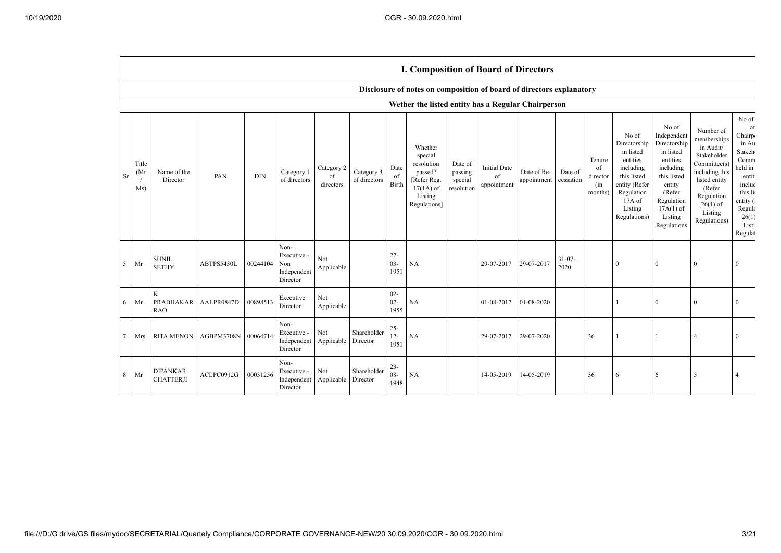$\Gamma$ 

|                 |                     |                                     |                     |          |                                                       |                               |                            |                          | <b>I. Composition of Board of Directors</b>                                                          |                                             |                                          |                            |                      |                                            |                                                                                                                                                |                                                                                                                                                                      |                                                                                                                                                                          |                                                                                                                                                             |
|-----------------|---------------------|-------------------------------------|---------------------|----------|-------------------------------------------------------|-------------------------------|----------------------------|--------------------------|------------------------------------------------------------------------------------------------------|---------------------------------------------|------------------------------------------|----------------------------|----------------------|--------------------------------------------|------------------------------------------------------------------------------------------------------------------------------------------------|----------------------------------------------------------------------------------------------------------------------------------------------------------------------|--------------------------------------------------------------------------------------------------------------------------------------------------------------------------|-------------------------------------------------------------------------------------------------------------------------------------------------------------|
|                 |                     |                                     |                     |          |                                                       |                               |                            |                          | Disclosure of notes on composition of board of directors explanatory                                 |                                             |                                          |                            |                      |                                            |                                                                                                                                                |                                                                                                                                                                      |                                                                                                                                                                          |                                                                                                                                                             |
|                 |                     |                                     |                     |          |                                                       |                               |                            |                          | Wether the listed entity has a Regular Chairperson                                                   |                                             |                                          |                            |                      |                                            |                                                                                                                                                |                                                                                                                                                                      |                                                                                                                                                                          |                                                                                                                                                             |
| <b>Sr</b>       | Title<br>(Mr<br>Ms) | Name of the<br>Director             | PAN                 | DIN      | Category 1<br>of directors                            | Category 2<br>of<br>directors | Category 3<br>of directors | Date<br>of<br>Birth      | Whether<br>special<br>resolution<br>passed?<br>[Refer Reg.<br>$17(1A)$ of<br>Listing<br>Regulations] | Date of<br>passing<br>special<br>resolution | <b>Initial Date</b><br>of<br>appointment | Date of Re-<br>appointment | Date of<br>cessation | Tenure<br>of<br>director<br>(in<br>months) | No of<br>Directorship<br>in listed<br>entities<br>including<br>this listed<br>entity (Refer<br>Regulation<br>17A of<br>Listing<br>Regulations) | No of<br>Independent<br>Directorship<br>in listed<br>entities<br>including<br>this listed<br>entity<br>(Refer<br>Regulation<br>$17A(1)$ of<br>Listing<br>Regulations | Number of<br>memberships<br>in Audit/<br>Stakeholder<br>Committee(s)<br>including this<br>listed entity<br>(Refer<br>Regulation<br>$26(1)$ of<br>Listing<br>Regulations) | No of<br>of<br>Chairp<br>in Au<br>Stakeh <sub>®</sub><br>Comm<br>held in<br>entiti<br>includ<br>this lis<br>entity (<br>Regula<br>26(1)<br>Listi<br>Regulat |
|                 | $5$ Mr              | <b>SUNIL</b><br><b>SETHY</b>        | ABTPS5430L          | 00244104 | Non-<br>Executive -<br>Non<br>Independent<br>Director | Not<br>Applicable             |                            | $27 -$<br>$03 -$<br>1951 | NA                                                                                                   |                                             | 29-07-2017                               | 29-07-2017                 | $31 - 07 -$<br>2020  |                                            | $\mathbf{0}$                                                                                                                                   | $\Omega$                                                                                                                                                             | $\mathbf{0}$                                                                                                                                                             | $\Omega$                                                                                                                                                    |
|                 | $6$ Mr              | K<br>PRABHAKAR<br><b>RAO</b>        | AALPR0847D          | 00898513 | Executive<br>Director                                 | Not<br>Applicable             |                            | $02 -$<br>$07 -$<br>1955 | NA                                                                                                   |                                             | 01-08-2017                               | 01-08-2020                 |                      |                                            |                                                                                                                                                | $\Omega$                                                                                                                                                             | $\bf{0}$                                                                                                                                                                 | $\mathbf{0}$                                                                                                                                                |
| $7\phantom{.0}$ | Mrs                 | <b>RITA MENON</b>                   | AGBPM3708N 00064714 |          | Non-<br>Executive -<br>Independent<br>Director        | Not<br>Applicable             | Shareholder<br>Director    | $25 -$<br>$12 -$<br>1951 | NA                                                                                                   |                                             | 29-07-2017                               | 29-07-2020                 |                      | 36                                         |                                                                                                                                                |                                                                                                                                                                      |                                                                                                                                                                          | $\Omega$                                                                                                                                                    |
| 8               | Mr                  | <b>DIPANKAR</b><br><b>CHATTERJI</b> | ACLPC0912G          | 00031256 | Non-<br>Executive -<br>Independent<br>Director        | Not<br>Applicable             | Shareholder<br>Director    | $23 -$<br>$08 -$<br>1948 | <b>NA</b>                                                                                            |                                             | 14-05-2019                               | 14-05-2019                 |                      | 36                                         | 6                                                                                                                                              | 6                                                                                                                                                                    | 5                                                                                                                                                                        | $\overline{4}$                                                                                                                                              |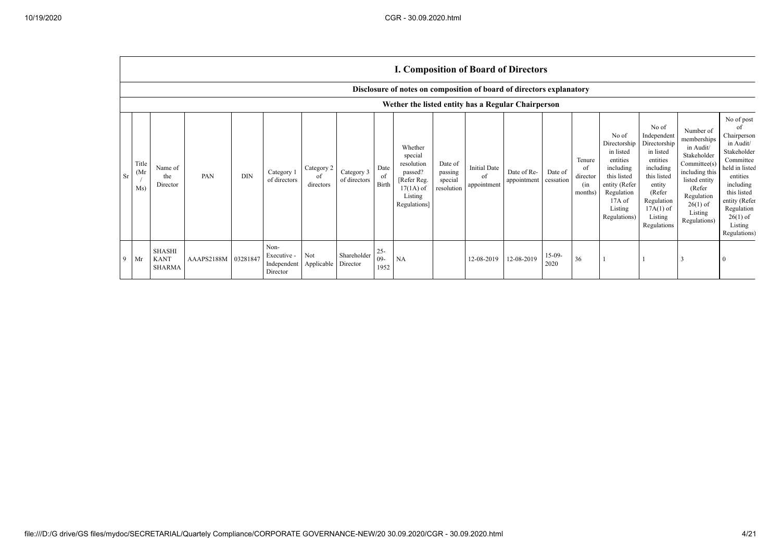|    |                                   |                                                                      |            |            |                                                |                               |                            |                         | <b>I. Composition of Board of Directors</b>                                                          |                                             |                                          |                            |                      |                                            |                                                                                                                                                |                                                                                                                                                                      |                                                                                                                                                                          |                                                                                                                                                                                                            |
|----|-----------------------------------|----------------------------------------------------------------------|------------|------------|------------------------------------------------|-------------------------------|----------------------------|-------------------------|------------------------------------------------------------------------------------------------------|---------------------------------------------|------------------------------------------|----------------------------|----------------------|--------------------------------------------|------------------------------------------------------------------------------------------------------------------------------------------------|----------------------------------------------------------------------------------------------------------------------------------------------------------------------|--------------------------------------------------------------------------------------------------------------------------------------------------------------------------|------------------------------------------------------------------------------------------------------------------------------------------------------------------------------------------------------------|
|    |                                   | Disclosure of notes on composition of board of directors explanatory |            |            |                                                |                               |                            |                         |                                                                                                      |                                             |                                          |                            |                      |                                            |                                                                                                                                                |                                                                                                                                                                      |                                                                                                                                                                          |                                                                                                                                                                                                            |
|    |                                   | Wether the listed entity has a Regular Chairperson                   |            |            |                                                |                               |                            |                         |                                                                                                      |                                             |                                          |                            |                      |                                            |                                                                                                                                                |                                                                                                                                                                      |                                                                                                                                                                          |                                                                                                                                                                                                            |
| Sr | Title<br>(M <sub>I</sub> )<br>Ms) | Name of<br>the<br>Director                                           | PAN        | <b>DIN</b> | Category 1<br>of directors                     | Category 2<br>of<br>directors | Category 3<br>of directors | Date<br>of<br>Birth     | Whether<br>special<br>resolution<br>passed?<br>[Refer Reg.<br>$17(1A)$ of<br>Listing<br>Regulations] | Date of<br>passing<br>special<br>resolution | <b>Initial Date</b><br>of<br>appointment | Date of Re-<br>appointment | Date of<br>cessation | Tenure<br>of<br>director<br>(in<br>months) | No of<br>Directorship<br>in listed<br>entities<br>including<br>this listed<br>entity (Refer<br>Regulation<br>17A of<br>Listing<br>Regulations) | No of<br>Independent<br>Directorship<br>in listed<br>entities<br>including<br>this listed<br>entity<br>(Refer<br>Regulation<br>$17A(1)$ of<br>Listing<br>Regulations | Number of<br>memberships<br>in Audit/<br>Stakeholder<br>Committee(s)<br>including this<br>listed entity<br>(Refer<br>Regulation<br>$26(1)$ of<br>Listing<br>Regulations) | No of post<br>ΩŤ<br>Chairperson<br>in Audit/<br>Stakeholder<br>Committee<br>held in listed<br>entities<br>including<br>this listed<br>entity (Refer<br>Regulation<br>$26(1)$ of<br>Listing<br>Regulations) |
| 9  | Mr                                | <b>SHASHI</b><br><b>KANT</b><br><b>SHARMA</b>                        | AAAPS2188M | 03281847   | Non-<br>Executive -<br>Independent<br>Director | Not<br>Applicable Director    | Shareholder                | $25 -$<br>$09-$<br>1952 | NA                                                                                                   |                                             | 12-08-2019                               | 12-08-2019                 | $15-09-$<br>2020     | 36                                         |                                                                                                                                                |                                                                                                                                                                      |                                                                                                                                                                          |                                                                                                                                                                                                            |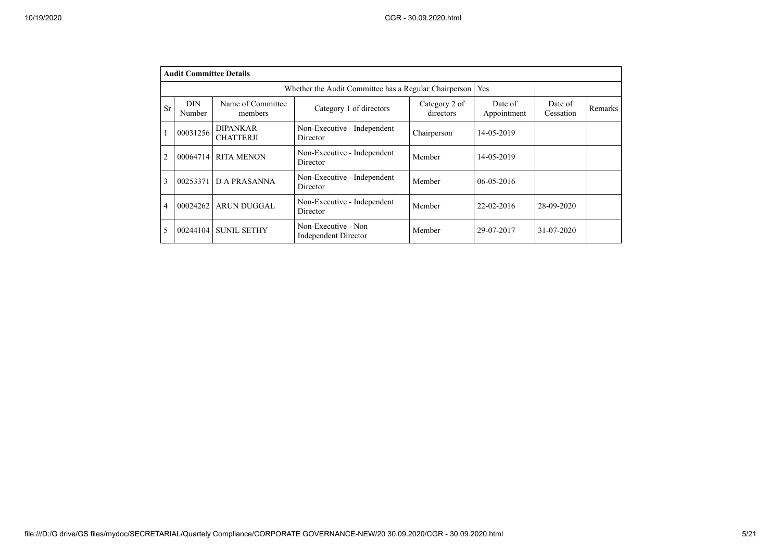|                | <b>Audit Committee Details</b> |                                     |                                                       |                            |                        |                      |         |
|----------------|--------------------------------|-------------------------------------|-------------------------------------------------------|----------------------------|------------------------|----------------------|---------|
|                |                                |                                     | Whether the Audit Committee has a Regular Chairperson |                            | Yes                    |                      |         |
| Sr             | <b>DIN</b><br>Number           | Name of Committee<br>members        | Category 1 of directors                               | Category 2 of<br>directors | Date of<br>Appointment | Date of<br>Cessation | Remarks |
|                | 00031256                       | <b>DIPANKAR</b><br><b>CHATTERJI</b> | Non-Executive - Independent<br>Director               | Chairperson                | 14-05-2019             |                      |         |
| $\overline{2}$ | 00064714                       | <b>RITA MENON</b>                   | Non-Executive - Independent<br>Director               | Member                     | 14-05-2019             |                      |         |
| 3              | 00253371                       | <b>DA PRASANNA</b>                  | Non-Executive - Independent<br>Director               | Member                     | 06-05-2016             |                      |         |
| 4              | 00024262                       | <b>ARUN DUGGAL</b>                  | Non-Executive - Independent<br>Director               | Member                     | 22-02-2016             | 28-09-2020           |         |
| 5              | 00244104                       | <b>SUNIL SETHY</b>                  | Non-Executive - Non<br>Independent Director           | Member                     | 29-07-2017             | 31-07-2020           |         |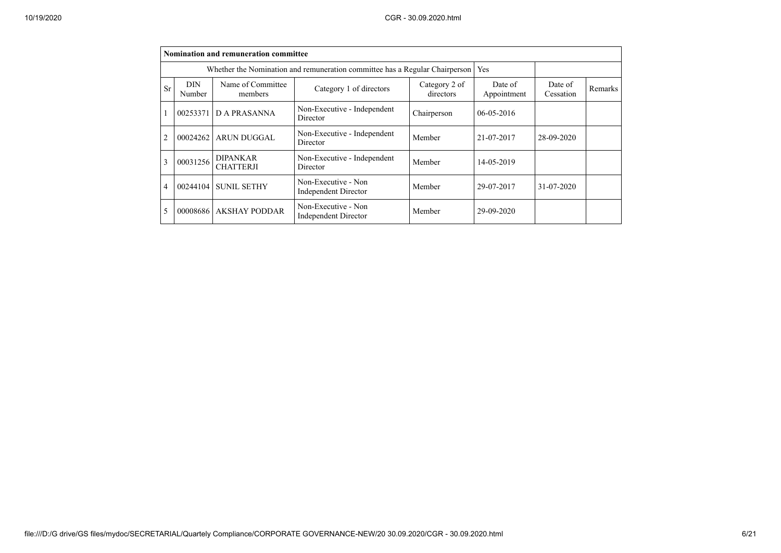|    |                             | Nomination and remuneration committee                                                                           |                                                                             |             |                  |            |         |
|----|-----------------------------|-----------------------------------------------------------------------------------------------------------------|-----------------------------------------------------------------------------|-------------|------------------|------------|---------|
|    |                             |                                                                                                                 | Whether the Nomination and remuneration committee has a Regular Chairperson |             | Yes              |            |         |
| Sr | <b>DIN</b><br><b>Number</b> | Name of Committee<br>Category 2 of<br>Date of<br>Category 1 of directors<br>directors<br>Appointment<br>members |                                                                             |             |                  |            | Remarks |
|    | 00253371                    | D A PRASANNA                                                                                                    | Non-Executive - Independent<br>Director                                     | Chairperson | $06 - 05 - 2016$ |            |         |
| 2  | 00024262                    | ARUN DUGGAL                                                                                                     | Non-Executive - Independent<br>Director                                     | Member      | 21-07-2017       | 28-09-2020 |         |
| 3  | 00031256                    | <b>DIPANKAR</b><br><b>CHATTERJI</b>                                                                             | Non-Executive - Independent<br>Director                                     | Member      | 14-05-2019       |            |         |
| 4  | 00244104                    | <b>SUNIL SETHY</b>                                                                                              | Non-Executive - Non<br>Independent Director                                 | Member      | 29-07-2017       | 31-07-2020 |         |
| 5  | 00008686                    | <b>AKSHAY PODDAR</b>                                                                                            | Non-Executive - Non<br><b>Independent Director</b>                          | Member      | 29-09-2020       |            |         |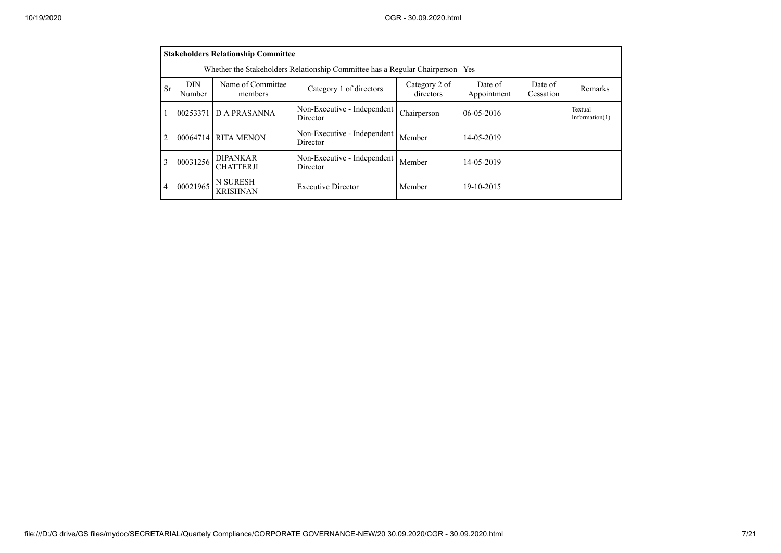|                | <b>Stakeholders Relationship Committee</b>                                                                    |                                                                           |                                         |             |                        |                      |                              |  |  |  |
|----------------|---------------------------------------------------------------------------------------------------------------|---------------------------------------------------------------------------|-----------------------------------------|-------------|------------------------|----------------------|------------------------------|--|--|--|
|                |                                                                                                               | Whether the Stakeholders Relationship Committee has a Regular Chairperson | Yes                                     |             |                        |                      |                              |  |  |  |
| Sr             | Name of Committee<br><b>DIN</b><br>Category 2 of<br>Category 1 of directors<br>directors<br>Number<br>members |                                                                           |                                         |             | Date of<br>Appointment | Date of<br>Cessation | Remarks                      |  |  |  |
|                | 00253371                                                                                                      | <b>DA PRASANNA</b>                                                        | Non-Executive - Independent<br>Director | Chairperson | $06 - 05 - 2016$       |                      | Textual<br>Information $(1)$ |  |  |  |
| $\overline{2}$ | 00064714                                                                                                      | <b>RITA MENON</b>                                                         | Non-Executive - Independent<br>Director | Member      | 14-05-2019             |                      |                              |  |  |  |
| 3              | 00031256                                                                                                      | <b>DIPANKAR</b><br><b>CHATTERJI</b>                                       | Non-Executive - Independent<br>Director | Member      | 14-05-2019             |                      |                              |  |  |  |
| 4              | 00021965                                                                                                      | <b>N SURESH</b><br><b>KRISHNAN</b>                                        | <b>Executive Director</b>               | Member      | 19-10-2015             |                      |                              |  |  |  |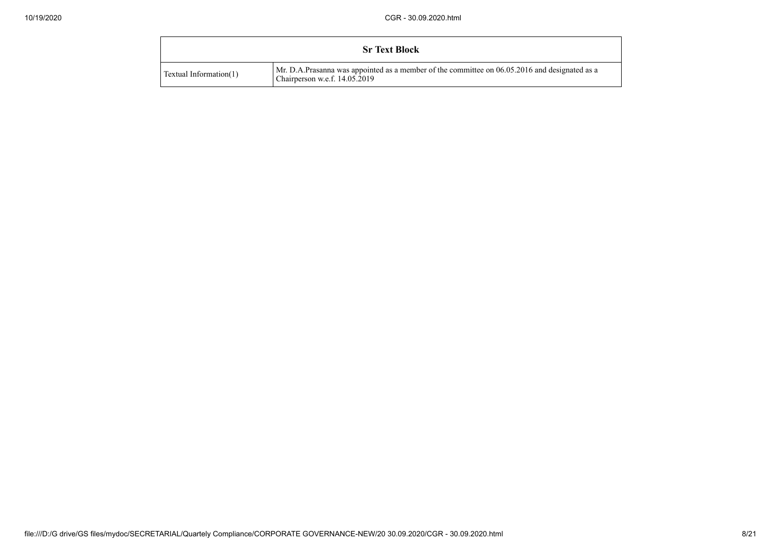|                        | <b>Sr Text Block</b>                                                                                                             |
|------------------------|----------------------------------------------------------------------------------------------------------------------------------|
| Textual Information(1) | Mr. D.A.Prasanna was appointed as a member of the committee on 06.05.2016 and designated as a<br>Chairperson w.e.f. $14.05.2019$ |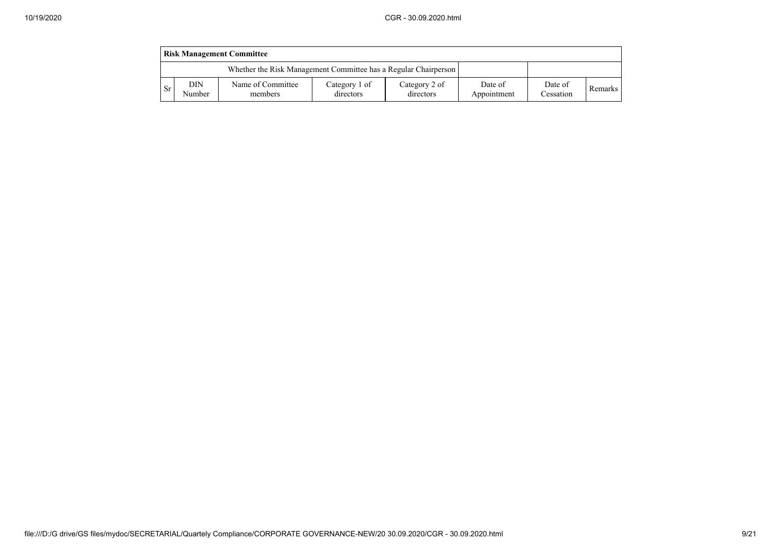|     | <b>Risk Management Committee</b>                                |                              |                            |                            |                        |                      |         |  |  |  |  |
|-----|-----------------------------------------------------------------|------------------------------|----------------------------|----------------------------|------------------------|----------------------|---------|--|--|--|--|
|     | Whether the Risk Management Committee has a Regular Chairperson |                              |                            |                            |                        |                      |         |  |  |  |  |
| -Sr | DIN<br>Number                                                   | Name of Committee<br>members | Category 1 of<br>directors | Category 2 of<br>directors | Date of<br>Appointment | Date of<br>Cessation | Remarks |  |  |  |  |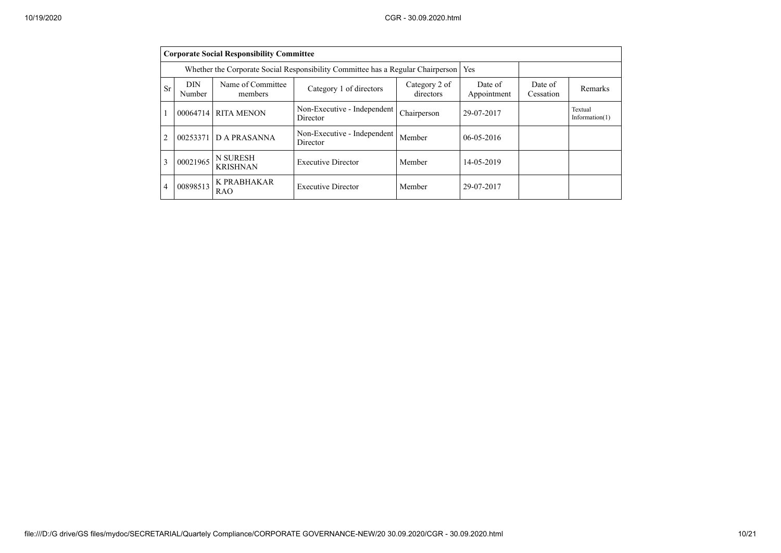|    | <b>Corporate Social Responsibility Committee</b>                                                              |                                                                                 |                                         |             |                  |                      |                              |  |  |  |
|----|---------------------------------------------------------------------------------------------------------------|---------------------------------------------------------------------------------|-----------------------------------------|-------------|------------------|----------------------|------------------------------|--|--|--|
|    |                                                                                                               | Whether the Corporate Social Responsibility Committee has a Regular Chairperson |                                         | Yes         |                  |                      |                              |  |  |  |
| Sr | Name of Committee<br><b>DIN</b><br>Category 2 of<br>Category 1 of directors<br>directors<br>Number<br>members |                                                                                 |                                         |             |                  | Date of<br>Cessation | Remarks                      |  |  |  |
|    | 00064714                                                                                                      | <b>RITA MENON</b>                                                               | Non-Executive - Independent<br>Director | Chairperson | 29-07-2017       |                      | Textual<br>Information $(1)$ |  |  |  |
|    | 00253371                                                                                                      | D A PRASANNA                                                                    | Non-Executive - Independent<br>Director | Member      | $06 - 05 - 2016$ |                      |                              |  |  |  |
| 3  | 00021965                                                                                                      | <b>N SURESH</b><br><b>KRISHNAN</b>                                              | <b>Executive Director</b>               | Member      | 14-05-2019       |                      |                              |  |  |  |
| 4  | 00898513                                                                                                      | K PRABHAKAR<br><b>RAO</b>                                                       | <b>Executive Director</b>               | Member      | 29-07-2017       |                      |                              |  |  |  |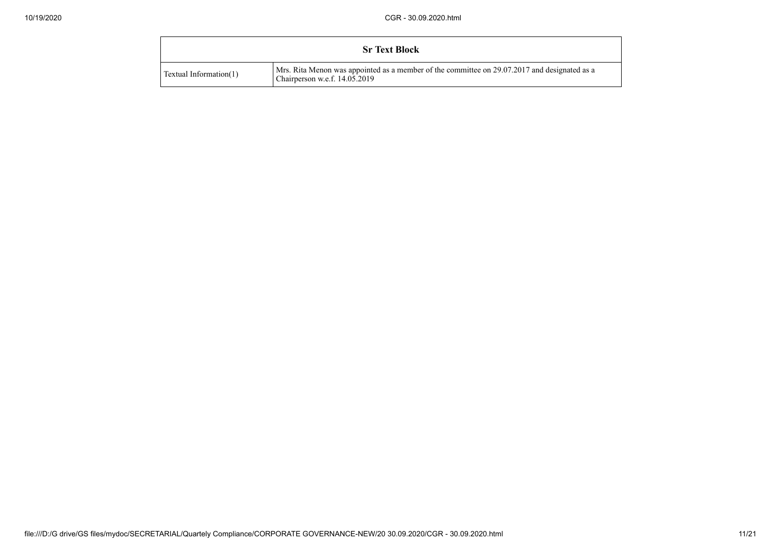|                        | <b>Sr Text Block</b>                                                                                                            |  |
|------------------------|---------------------------------------------------------------------------------------------------------------------------------|--|
| Textual Information(1) | Mrs. Rita Menon was appointed as a member of the committee on 29.07.2017 and designated as a<br>Chairperson w.e.f. $14.05.2019$ |  |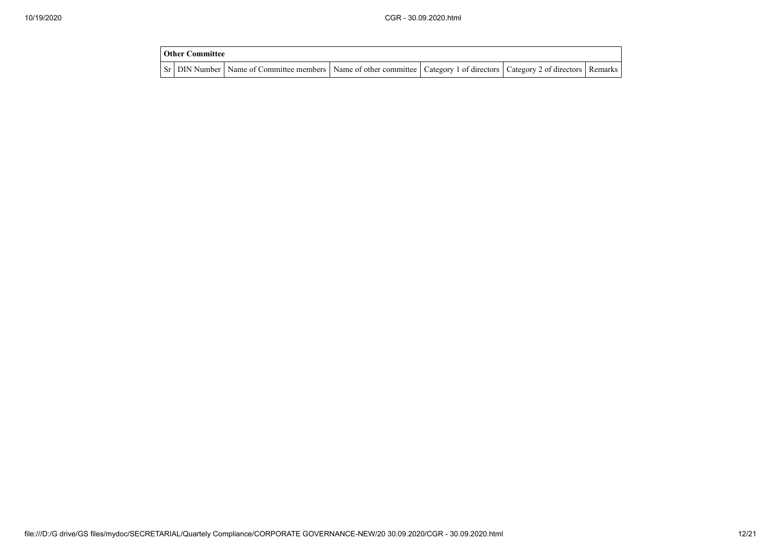| <b>Other Committee</b> |                                                                                                                                     |  |  |  |  |  |  |  |
|------------------------|-------------------------------------------------------------------------------------------------------------------------------------|--|--|--|--|--|--|--|
|                        | Sr   DIN Number   Name of Committee members   Name of other committee   Category 1 of directors   Category 2 of directors   Remarks |  |  |  |  |  |  |  |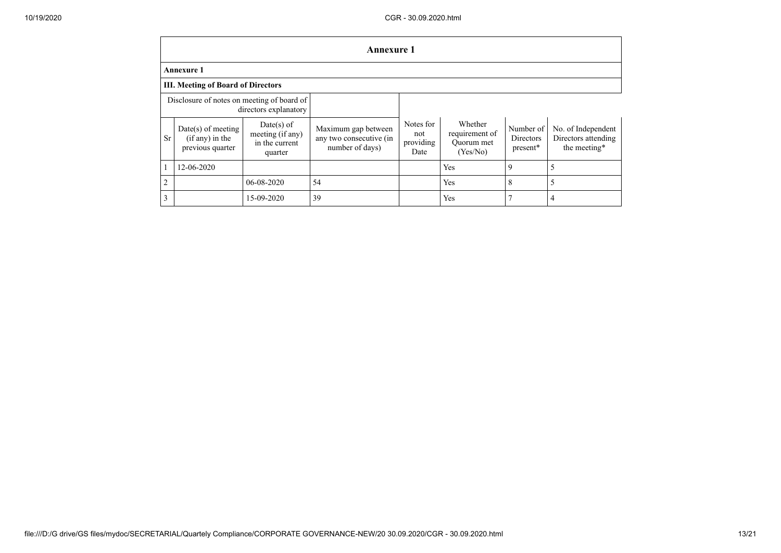|                                                                     | <b>Annexure 1</b>                                             |                                                               |                                                                   |                                       |                                                     |                                    |                                                           |
|---------------------------------------------------------------------|---------------------------------------------------------------|---------------------------------------------------------------|-------------------------------------------------------------------|---------------------------------------|-----------------------------------------------------|------------------------------------|-----------------------------------------------------------|
|                                                                     | <b>Annexure 1</b>                                             |                                                               |                                                                   |                                       |                                                     |                                    |                                                           |
|                                                                     | <b>III. Meeting of Board of Directors</b>                     |                                                               |                                                                   |                                       |                                                     |                                    |                                                           |
| Disclosure of notes on meeting of board of<br>directors explanatory |                                                               |                                                               |                                                                   |                                       |                                                     |                                    |                                                           |
| <b>Sr</b>                                                           | $Date(s)$ of meeting<br>$(if any)$ in the<br>previous quarter | $Date(s)$ of<br>meeting (if any)<br>in the current<br>quarter | Maximum gap between<br>any two consecutive (in<br>number of days) | Notes for<br>not<br>providing<br>Date | Whether<br>requirement of<br>Ouorum met<br>(Yes/No) | Number of<br>Directors<br>present* | No. of Independent<br>Directors attending<br>the meeting* |
|                                                                     | 12-06-2020                                                    |                                                               |                                                                   |                                       | Yes                                                 | 9                                  |                                                           |
| 2                                                                   |                                                               | 06-08-2020                                                    | 54                                                                |                                       | Yes                                                 | 8                                  |                                                           |
| 3                                                                   |                                                               | 15-09-2020                                                    | 39                                                                |                                       | Yes                                                 | 7                                  | 4                                                         |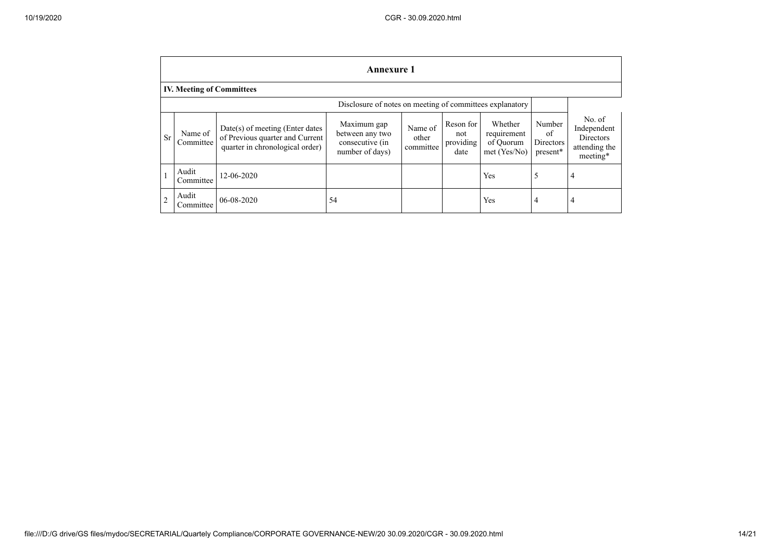|                | <b>Annexure 1</b>                |                                                                                                         |                                                                      |                               |                                       |                                                     |                                       |                                                                 |
|----------------|----------------------------------|---------------------------------------------------------------------------------------------------------|----------------------------------------------------------------------|-------------------------------|---------------------------------------|-----------------------------------------------------|---------------------------------------|-----------------------------------------------------------------|
|                | <b>IV. Meeting of Committees</b> |                                                                                                         |                                                                      |                               |                                       |                                                     |                                       |                                                                 |
|                |                                  |                                                                                                         | Disclosure of notes on meeting of committees explanatory             |                               |                                       |                                                     |                                       |                                                                 |
| <b>Sr</b>      | Name of<br>Committee             | $Date(s)$ of meeting (Enter dates<br>of Previous quarter and Current<br>quarter in chronological order) | Maximum gap<br>between any two<br>consecutive (in<br>number of days) | Name of<br>other<br>committee | Reson for<br>not<br>providing<br>date | Whether<br>requirement<br>of Quorum<br>met (Yes/No) | Number<br>of<br>Directors<br>present* | No. of<br>Independent<br>Directors<br>attending the<br>meeting* |
|                | Audit<br>Committee               | 12-06-2020                                                                                              |                                                                      |                               |                                       | Yes                                                 | 5                                     | 4                                                               |
| $\overline{2}$ | Audit<br>Committee               | 06-08-2020                                                                                              | 54                                                                   |                               |                                       | Yes                                                 | 4                                     | 4                                                               |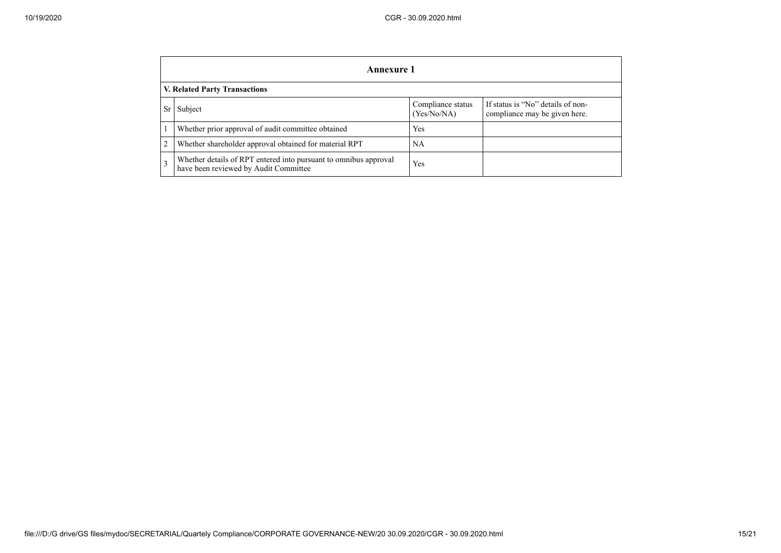|                | Annexure 1                                                                                                |                                  |                                                                    |  |  |  |
|----------------|-----------------------------------------------------------------------------------------------------------|----------------------------------|--------------------------------------------------------------------|--|--|--|
|                | V. Related Party Transactions                                                                             |                                  |                                                                    |  |  |  |
| Sr             | Subject                                                                                                   | Compliance status<br>(Yes/No/NA) | If status is "No" details of non-<br>compliance may be given here. |  |  |  |
|                | Whether prior approval of audit committee obtained                                                        | Yes                              |                                                                    |  |  |  |
| $\overline{2}$ | Whether shareholder approval obtained for material RPT                                                    | NA                               |                                                                    |  |  |  |
| 3              | Whether details of RPT entered into pursuant to omnibus approval<br>have been reviewed by Audit Committee | Yes                              |                                                                    |  |  |  |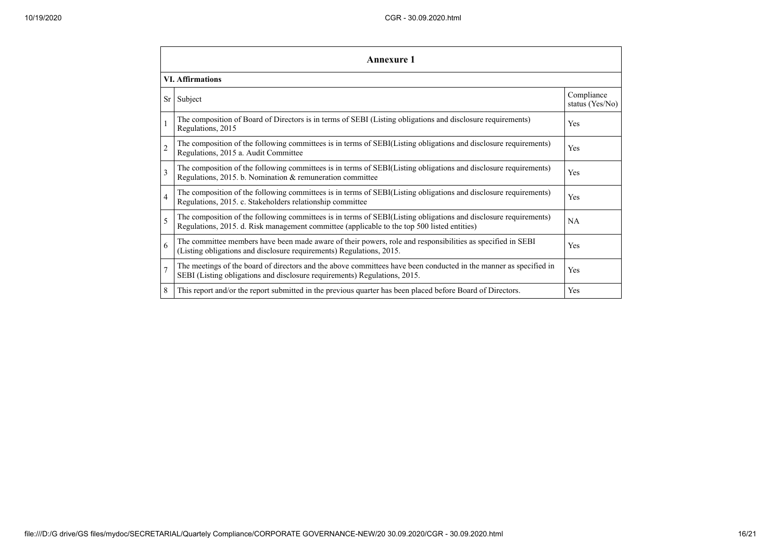|                 | <b>Annexure 1</b>                                                                                                                                                                                               |                               |  |  |  |  |
|-----------------|-----------------------------------------------------------------------------------------------------------------------------------------------------------------------------------------------------------------|-------------------------------|--|--|--|--|
|                 | <b>VI.</b> Affirmations                                                                                                                                                                                         |                               |  |  |  |  |
| Sr <sub>1</sub> | Subject                                                                                                                                                                                                         | Compliance<br>status (Yes/No) |  |  |  |  |
|                 | The composition of Board of Directors is in terms of SEBI (Listing obligations and disclosure requirements)<br>Regulations, 2015                                                                                | Yes                           |  |  |  |  |
| $\overline{c}$  | The composition of the following committees is in terms of SEBI(Listing obligations and disclosure requirements)<br>Regulations, 2015 a. Audit Committee                                                        | Yes                           |  |  |  |  |
| 3               | The composition of the following committees is in terms of SEBI(Listing obligations and disclosure requirements)<br>Regulations, 2015. b. Nomination & remuneration committee                                   | Yes                           |  |  |  |  |
| $\overline{4}$  | The composition of the following committees is in terms of SEBI(Listing obligations and disclosure requirements)<br>Regulations, 2015. c. Stakeholders relationship committee                                   | Yes                           |  |  |  |  |
| 5               | The composition of the following committees is in terms of SEBI(Listing obligations and disclosure requirements)<br>Regulations, 2015. d. Risk management committee (applicable to the top 500 listed entities) | NA                            |  |  |  |  |
| 6               | The committee members have been made aware of their powers, role and responsibilities as specified in SEBI<br>(Listing obligations and disclosure requirements) Regulations, 2015.                              | Yes                           |  |  |  |  |
| $\overline{7}$  | The meetings of the board of directors and the above committees have been conducted in the manner as specified in<br>SEBI (Listing obligations and disclosure requirements) Regulations, 2015.                  | Yes                           |  |  |  |  |
| 8               | This report and/or the report submitted in the previous quarter has been placed before Board of Directors.                                                                                                      | Yes                           |  |  |  |  |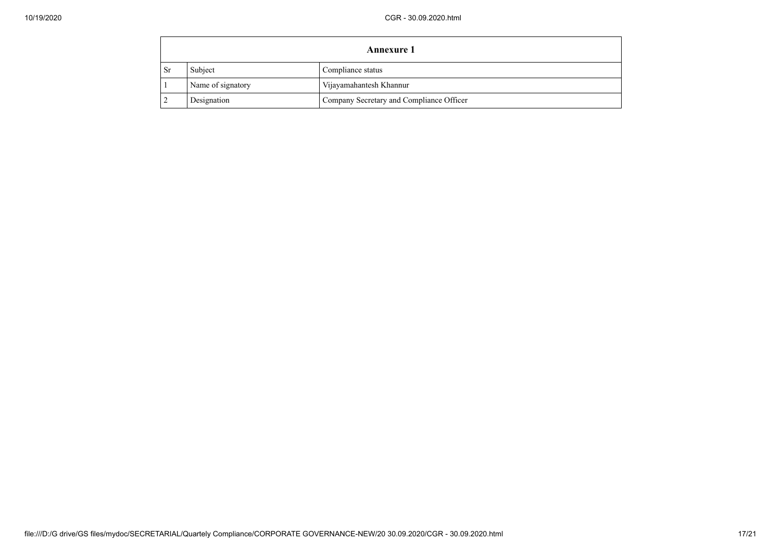|           | <b>Annexure 1</b> |                                          |  |  |  |
|-----------|-------------------|------------------------------------------|--|--|--|
| <b>Sr</b> | Subject           | Compliance status                        |  |  |  |
|           | Name of signatory | Vijayamahantesh Khannur                  |  |  |  |
|           | Designation       | Company Secretary and Compliance Officer |  |  |  |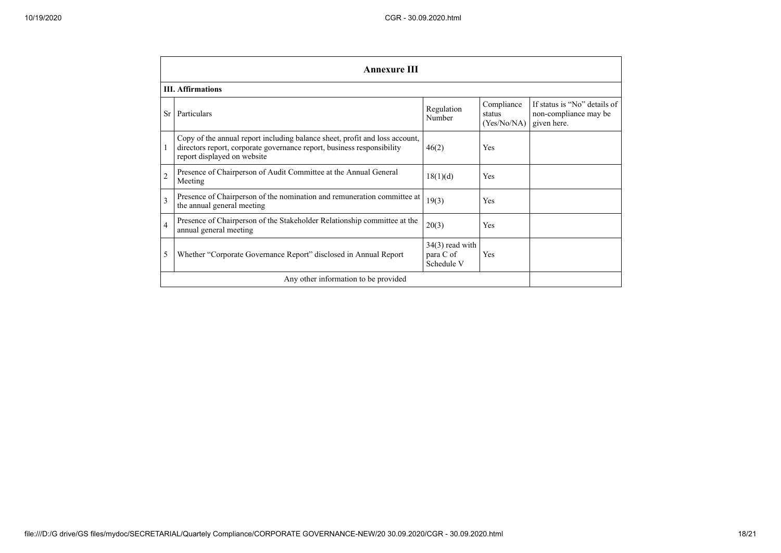|                | <b>Annexure III</b>                                                                                                                                                                  |                                              |                                     |                                                                      |  |  |
|----------------|--------------------------------------------------------------------------------------------------------------------------------------------------------------------------------------|----------------------------------------------|-------------------------------------|----------------------------------------------------------------------|--|--|
|                | <b>III.</b> Affirmations                                                                                                                                                             |                                              |                                     |                                                                      |  |  |
| <b>Sr</b>      | Particulars                                                                                                                                                                          | Regulation<br>Number                         | Compliance<br>status<br>(Yes/No/NA) | If status is "No" details of<br>non-compliance may be<br>given here. |  |  |
|                | Copy of the annual report including balance sheet, profit and loss account,<br>directors report, corporate governance report, business responsibility<br>report displayed on website | 46(2)                                        | Yes                                 |                                                                      |  |  |
| $\overline{2}$ | Presence of Chairperson of Audit Committee at the Annual General<br>Meeting                                                                                                          | 18(1)(d)                                     | Yes                                 |                                                                      |  |  |
| $\overline{3}$ | Presence of Chairperson of the nomination and remuneration committee at<br>the annual general meeting                                                                                | 19(3)                                        | Yes                                 |                                                                      |  |  |
| $\overline{4}$ | Presence of Chairperson of the Stakeholder Relationship committee at the<br>annual general meeting                                                                                   | 20(3)                                        | <b>Yes</b>                          |                                                                      |  |  |
| 5              | Whether "Corporate Governance Report" disclosed in Annual Report                                                                                                                     | $34(3)$ read with<br>para C of<br>Schedule V | Yes                                 |                                                                      |  |  |
|                | Any other information to be provided                                                                                                                                                 |                                              |                                     |                                                                      |  |  |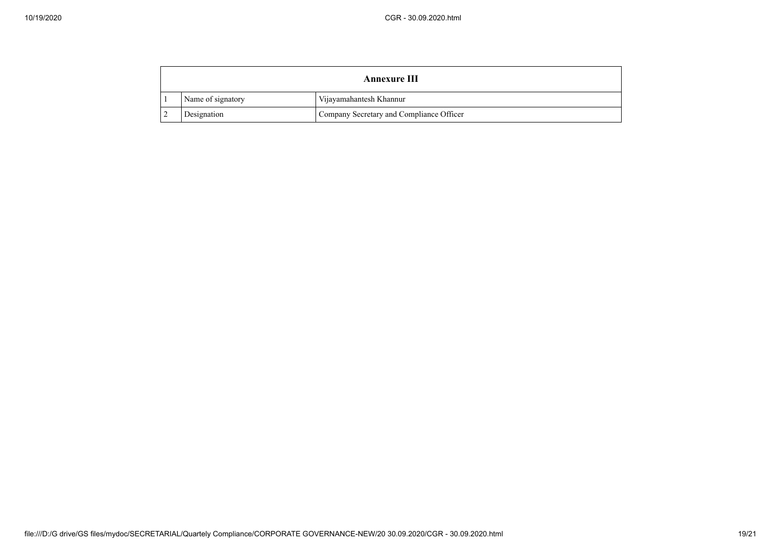|                                                              | <b>Annexure III</b> |                         |  |
|--------------------------------------------------------------|---------------------|-------------------------|--|
|                                                              | Name of signatory   | Vijayamahantesh Khannur |  |
| Company Secretary and Compliance Officer<br>Designation<br>- |                     |                         |  |